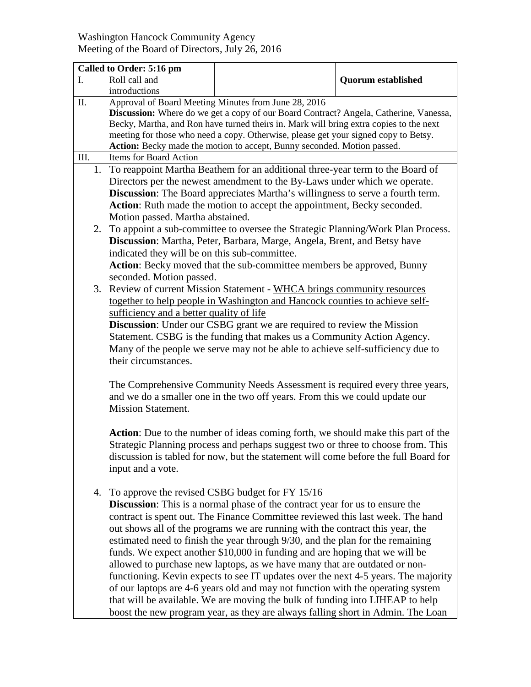## Washington Hancock Community Agency Meeting of the Board of Directors, July 26, 2016

|      | Called to Order: 5:16 pm                                                                                                                                                    |                                                                                     |                           |
|------|-----------------------------------------------------------------------------------------------------------------------------------------------------------------------------|-------------------------------------------------------------------------------------|---------------------------|
|      | Roll call and                                                                                                                                                               |                                                                                     | <b>Quorum established</b> |
|      | introductions                                                                                                                                                               |                                                                                     |                           |
| Π.   |                                                                                                                                                                             | Approval of Board Meeting Minutes from June 28, 2016                                |                           |
|      | <b>Discussion:</b> Where do we get a copy of our Board Contract? Angela, Catherine, Vanessa,                                                                                |                                                                                     |                           |
|      | Becky, Martha, and Ron have turned theirs in. Mark will bring extra copies to the next                                                                                      |                                                                                     |                           |
|      | meeting for those who need a copy. Otherwise, please get your signed copy to Betsy.                                                                                         |                                                                                     |                           |
|      |                                                                                                                                                                             | Action: Becky made the motion to accept, Bunny seconded. Motion passed.             |                           |
| III. | Items for Board Action                                                                                                                                                      |                                                                                     |                           |
| 1.   | To reappoint Martha Beathem for an additional three-year term to the Board of                                                                                               |                                                                                     |                           |
|      | Directors per the newest amendment to the By-Laws under which we operate.                                                                                                   |                                                                                     |                           |
|      | Discussion: The Board appreciates Martha's willingness to serve a fourth term.                                                                                              |                                                                                     |                           |
|      | Action: Ruth made the motion to accept the appointment, Becky seconded.                                                                                                     |                                                                                     |                           |
|      | Motion passed. Martha abstained.                                                                                                                                            |                                                                                     |                           |
| 2.   |                                                                                                                                                                             |                                                                                     |                           |
|      | To appoint a sub-committee to oversee the Strategic Planning/Work Plan Process.                                                                                             |                                                                                     |                           |
|      | Discussion: Martha, Peter, Barbara, Marge, Angela, Brent, and Betsy have                                                                                                    |                                                                                     |                           |
|      | indicated they will be on this sub-committee.                                                                                                                               |                                                                                     |                           |
|      | Action: Becky moved that the sub-committee members be approved, Bunny                                                                                                       |                                                                                     |                           |
|      | seconded. Motion passed.                                                                                                                                                    |                                                                                     |                           |
| 3.   | Review of current Mission Statement - WHCA brings community resources                                                                                                       |                                                                                     |                           |
|      |                                                                                                                                                                             | together to help people in Washington and Hancock counties to achieve self-         |                           |
|      | sufficiency and a better quality of life                                                                                                                                    |                                                                                     |                           |
|      |                                                                                                                                                                             | <b>Discussion:</b> Under our CSBG grant we are required to review the Mission       |                           |
|      | Statement. CSBG is the funding that makes us a Community Action Agency.                                                                                                     |                                                                                     |                           |
|      |                                                                                                                                                                             | Many of the people we serve may not be able to achieve self-sufficiency due to      |                           |
|      | their circumstances.                                                                                                                                                        |                                                                                     |                           |
|      |                                                                                                                                                                             |                                                                                     |                           |
|      |                                                                                                                                                                             |                                                                                     |                           |
|      | The Comprehensive Community Needs Assessment is required every three years,<br>and we do a smaller one in the two off years. From this we could update our                  |                                                                                     |                           |
|      | <b>Mission Statement.</b>                                                                                                                                                   |                                                                                     |                           |
|      |                                                                                                                                                                             |                                                                                     |                           |
|      |                                                                                                                                                                             |                                                                                     |                           |
|      | <b>Action:</b> Due to the number of ideas coming forth, we should make this part of the<br>Strategic Planning process and perhaps suggest two or three to choose from. This |                                                                                     |                           |
|      |                                                                                                                                                                             |                                                                                     |                           |
|      |                                                                                                                                                                             | discussion is tabled for now, but the statement will come before the full Board for |                           |
|      | input and a vote.                                                                                                                                                           |                                                                                     |                           |
|      |                                                                                                                                                                             |                                                                                     |                           |
| 4.   |                                                                                                                                                                             | To approve the revised CSBG budget for FY 15/16                                     |                           |
|      |                                                                                                                                                                             | <b>Discussion:</b> This is a normal phase of the contract year for us to ensure the |                           |
|      |                                                                                                                                                                             | contract is spent out. The Finance Committee reviewed this last week. The hand      |                           |
|      |                                                                                                                                                                             | out shows all of the programs we are running with the contract this year, the       |                           |
|      |                                                                                                                                                                             | estimated need to finish the year through 9/30, and the plan for the remaining      |                           |
|      |                                                                                                                                                                             | funds. We expect another \$10,000 in funding and are hoping that we will be         |                           |
|      |                                                                                                                                                                             | allowed to purchase new laptops, as we have many that are outdated or non-          |                           |
|      |                                                                                                                                                                             | functioning. Kevin expects to see IT updates over the next 4-5 years. The majority  |                           |
|      |                                                                                                                                                                             | of our laptops are 4-6 years old and may not function with the operating system     |                           |
|      |                                                                                                                                                                             | that will be available. We are moving the bulk of funding into LIHEAP to help       |                           |
|      |                                                                                                                                                                             |                                                                                     |                           |
|      |                                                                                                                                                                             | boost the new program year, as they are always falling short in Admin. The Loan     |                           |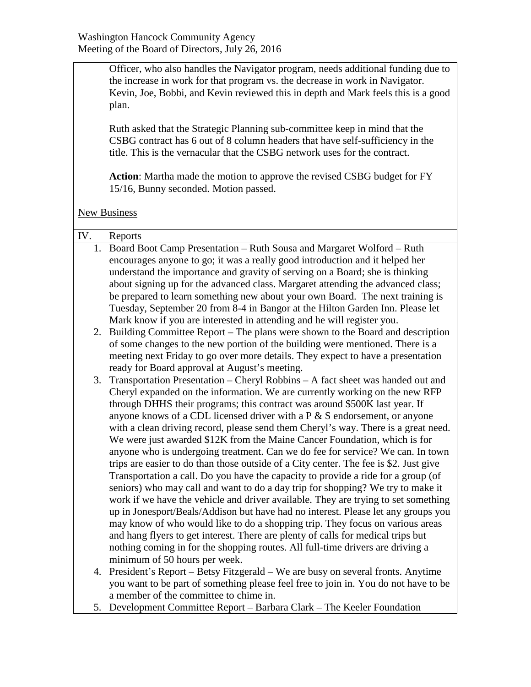Officer, who also handles the Navigator program, needs additional funding due to the increase in work for that program vs. the decrease in work in Navigator. Kevin, Joe, Bobbi, and Kevin reviewed this in depth and Mark feels this is a good plan.

Ruth asked that the Strategic Planning sub-committee keep in mind that the CSBG contract has 6 out of 8 column headers that have self-sufficiency in the title. This is the vernacular that the CSBG network uses for the contract.

**Action**: Martha made the motion to approve the revised CSBG budget for FY 15/16, Bunny seconded. Motion passed.

**New Business** 

| IV. | Reports                                                                                                         |  |  |
|-----|-----------------------------------------------------------------------------------------------------------------|--|--|
| 1.  | Board Boot Camp Presentation - Ruth Sousa and Margaret Wolford - Ruth                                           |  |  |
|     | encourages anyone to go; it was a really good introduction and it helped her                                    |  |  |
|     | understand the importance and gravity of serving on a Board; she is thinking                                    |  |  |
|     | about signing up for the advanced class. Margaret attending the advanced class;                                 |  |  |
|     | be prepared to learn something new about your own Board. The next training is                                   |  |  |
|     | Tuesday, September 20 from 8-4 in Bangor at the Hilton Garden Inn. Please let                                   |  |  |
|     | Mark know if you are interested in attending and he will register you.                                          |  |  |
| 2.  | Building Committee Report – The plans were shown to the Board and description                                   |  |  |
|     | of some changes to the new portion of the building were mentioned. There is a                                   |  |  |
|     | meeting next Friday to go over more details. They expect to have a presentation                                 |  |  |
|     | ready for Board approval at August's meeting.                                                                   |  |  |
| 3.  | Transportation Presentation - Cheryl Robbins - A fact sheet was handed out and                                  |  |  |
|     | Cheryl expanded on the information. We are currently working on the new RFP                                     |  |  |
|     | through DHHS their programs; this contract was around \$500K last year. If                                      |  |  |
|     | anyone knows of a CDL licensed driver with a $P \& S$ endorsement, or anyone                                    |  |  |
|     | with a clean driving record, please send them Cheryl's way. There is a great need.                              |  |  |
|     | We were just awarded \$12K from the Maine Cancer Foundation, which is for                                       |  |  |
|     | anyone who is undergoing treatment. Can we do fee for service? We can. In town                                  |  |  |
|     | trips are easier to do than those outside of a City center. The fee is \$2. Just give                           |  |  |
|     | Transportation a call. Do you have the capacity to provide a ride for a group (of                               |  |  |
|     | seniors) who may call and want to do a day trip for shopping? We try to make it                                 |  |  |
|     | work if we have the vehicle and driver available. They are trying to set something                              |  |  |
|     | up in Jonesport/Beals/Addison but have had no interest. Please let any groups you                               |  |  |
|     | may know of who would like to do a shopping trip. They focus on various areas                                   |  |  |
|     | and hang flyers to get interest. There are plenty of calls for medical trips but                                |  |  |
|     | nothing coming in for the shopping routes. All full-time drivers are driving a<br>minimum of 50 hours per week. |  |  |
| 4.  | President's Report – Betsy Fitzgerald – We are busy on several fronts. Anytime                                  |  |  |
|     | you want to be part of something please feel free to join in. You do not have to be                             |  |  |
|     |                                                                                                                 |  |  |

- a member of the committee to chime in.
- 5. Development Committee Report Barbara Clark The Keeler Foundation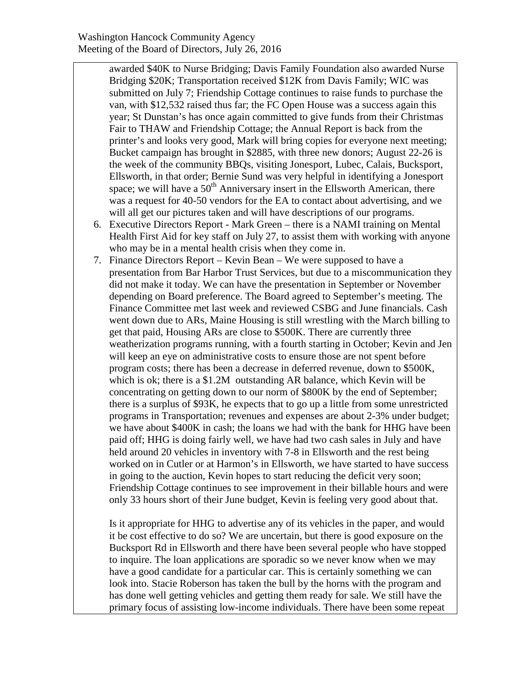awarded \$40K to Nurse Bridging; Davis Family Foundation also awarded Nurse Bridging \$20K; Transportation received \$12K from Davis Family; WIC was submitted on July 7; Friendship Cottage continues to raise funds to purchase the van, with \$12,532 raised thus far; the FC Open House was a success again this year; St Dunstan's has once again committed to give funds from their Christmas Fair to THAW and Friendship Cottage; the Annual Report is back from the printer's and looks very good, Mark will bring copies for everyone next meeting; Bucket campaign has brought in \$2885, with three new donors; August 22-26 is the week of the community BBQs, visiting Jonesport, Lubec, Calais, Bucksport, Ellsworth, in that order; Bernie Sund was very helpful in identifying a Jonesport space; we will have a  $50<sup>th</sup>$  Anniversary insert in the Ellsworth American, there was a request for 40-50 vendors for the EA to contact about advertising, and we will all get our pictures taken and will have descriptions of our programs.

- 6. Executive Directors Report Mark Green there is a NAMI training on Mental Health First Aid for key staff on July 27, to assist them with working with anyone who may be in a mental health crisis when they come in.
- 7. Finance Directors Report Kevin Bean We were supposed to have a presentation from Bar Harbor Trust Services, but due to a miscommunication they did not make it today. We can have the presentation in September or November depending on Board preference. The Board agreed to September's meeting. The Finance Committee met last week and reviewed CSBG and June financials. Cash went down due to ARs, Maine Housing is still wrestling with the March billing to get that paid, Housing ARs are close to \$500K. There are currently three weatherization programs running, with a fourth starting in October; Kevin and Jen will keep an eye on administrative costs to ensure those are not spent before program costs; there has been a decrease in deferred revenue, down to \$500K, which is ok; there is a \$1.2M outstanding AR balance, which Kevin will be concentrating on getting down to our norm of \$800K by the end of September; there is a surplus of \$93K, he expects that to go up a little from some unrestricted programs in Transportation; revenues and expenses are about 2-3% under budget; we have about \$400K in cash; the loans we had with the bank for HHG have been paid off; HHG is doing fairly well, we have had two cash sales in July and have held around 20 vehicles in inventory with 7-8 in Ellsworth and the rest being worked on in Cutler or at Harmon's in Ellsworth, we have started to have success in going to the auction, Kevin hopes to start reducing the deficit very soon; Friendship Cottage continues to see improvement in their billable hours and were only 33 hours short of their June budget, Kevin is feeling very good about that.

Is it appropriate for HHG to advertise any of its vehicles in the paper, and would it be cost effective to do so? We are uncertain, but there is good exposure on the Bucksport Rd in Ellsworth and there have been several people who have stopped to inquire. The loan applications are sporadic so we never know when we may have a good candidate for a particular car. This is certainly something we can look into. Stacie Roberson has taken the bull by the horns with the program and has done well getting vehicles and getting them ready for sale. We still have the primary focus of assisting low-income individuals. There have been some repeat